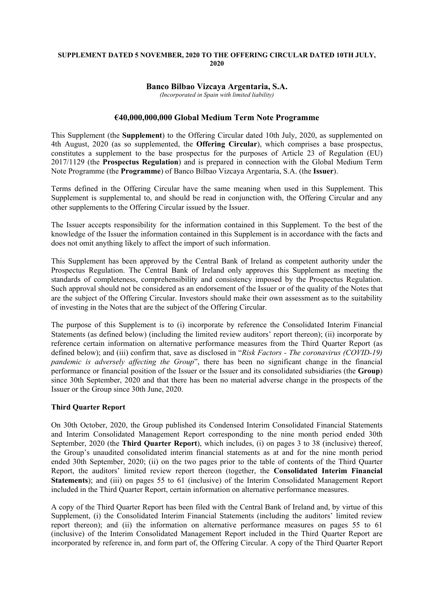### **SUPPLEMENT DATED 5 NOVEMBER, 2020 TO THE OFFERING CIRCULAR DATED 10TH JULY, 2020**

# **Banco Bilbao Vizcaya Argentaria, S.A.**

*(Incorporated in Spain with limited liability)*

## **€40,000,000,000 Global Medium Term Note Programme**

This Supplement (the **Supplement**) to the Offering Circular dated 10th July, 2020, as supplemented on 4th August, 2020 (as so supplemented, the **Offering Circular**), which comprises a base prospectus, constitutes a supplement to the base prospectus for the purposes of Article 23 of Regulation (EU) 2017/1129 (the **Prospectus Regulation**) and is prepared in connection with the Global Medium Term Note Programme (the **Programme**) of Banco Bilbao Vizcaya Argentaria, S.A. (the **Issuer**).

Terms defined in the Offering Circular have the same meaning when used in this Supplement. This Supplement is supplemental to, and should be read in conjunction with, the Offering Circular and any other supplements to the Offering Circular issued by the Issuer.

The Issuer accepts responsibility for the information contained in this Supplement. To the best of the knowledge of the Issuer the information contained in this Supplement is in accordance with the facts and does not omit anything likely to affect the import of such information.

This Supplement has been approved by the Central Bank of Ireland as competent authority under the Prospectus Regulation. The Central Bank of Ireland only approves this Supplement as meeting the standards of completeness, comprehensibility and consistency imposed by the Prospectus Regulation. Such approval should not be considered as an endorsement of the Issuer or of the quality of the Notes that are the subject of the Offering Circular. Investors should make their own assessment as to the suitability of investing in the Notes that are the subject of the Offering Circular.

The purpose of this Supplement is to (i) incorporate by reference the Consolidated Interim Financial Statements (as defined below) (including the limited review auditors' report thereon); (ii) incorporate by reference certain information on alternative performance measures from the Third Quarter Report (as defined below); and (iii) confirm that, save as disclosed in "*Risk Factors - The coronavirus (COVID-19) pandemic is adversely affecting the Group*", there has been no significant change in the financial performance or financial position of the Issuer or the Issuer and its consolidated subsidiaries (the **Group**) since 30th September, 2020 and that there has been no material adverse change in the prospects of the Issuer or the Group since 30th June, 2020.

## **Third Quarter Report**

On 30th October, 2020, the Group published its Condensed Interim Consolidated Financial Statements and Interim Consolidated Management Report corresponding to the nine month period ended 30th September, 2020 (the **Third Quarter Report**), which includes, (i) on pages 3 to 38 (inclusive) thereof, the Group's unaudited consolidated interim financial statements as at and for the nine month period ended 30th September, 2020; (ii) on the two pages prior to the table of contents of the Third Quarter Report, the auditors' limited review report thereon (together, the **Consolidated Interim Financial Statements**); and (iii) on pages 55 to 61 (inclusive) of the Interim Consolidated Management Report included in the Third Quarter Report, certain information on alternative performance measures.

A copy of the Third Quarter Report has been filed with the Central Bank of Ireland and, by virtue of this Supplement, (i) the Consolidated Interim Financial Statements (including the auditors' limited review report thereon); and (ii) the information on alternative performance measures on pages 55 to 61 (inclusive) of the Interim Consolidated Management Report included in the Third Quarter Report are incorporated by reference in, and form part of, the Offering Circular. A copy of the Third Quarter Report